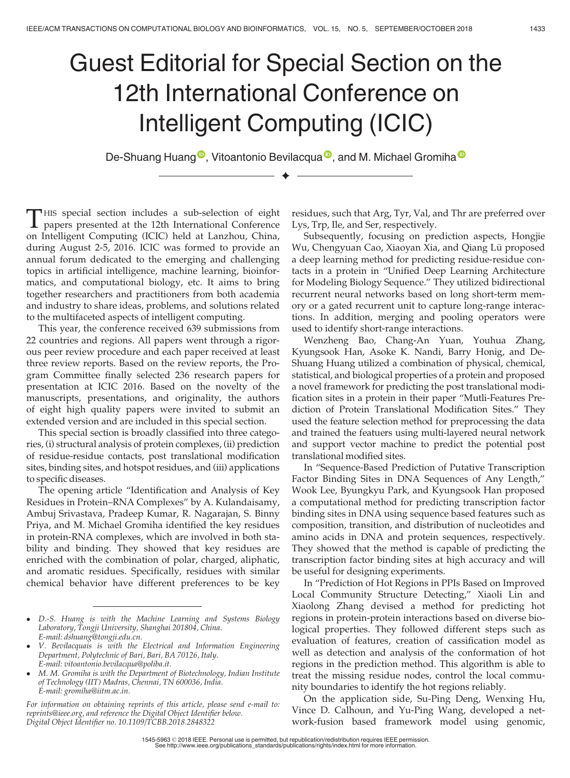## Guest Editorial for Special Section on the 12th International Conference on Intelligent Computing (ICIC)

De-Shuang Huang<sup>®</sup>, Vitoantonio Bevilacqua<sup>®</sup>, and M. Michael Gromiha<sup>®</sup>  $\ddotmark$ 

THIS special section includes a sub-selection of eight papers presented at the 12th International Conference<br>on Intelligent Computing (ICIC) held at Lanzhou, China, HIS special section includes a sub-selection of eight papers presented at the 12th International Conference during August 2-5, 2016. ICIC was formed to provide an annual forum dedicated to the emerging and challenging topics in artificial intelligence, machine learning, bioinformatics, and computational biology, etc. It aims to bring together researchers and practitioners from both academia and industry to share ideas, problems, and solutions related to the multifaceted aspects of intelligent computing.

This year, the conference received 639 submissions from 22 countries and regions. All papers went through a rigorous peer review procedure and each paper received at least three review reports. Based on the review reports, the Program Committee finally selected 236 research papers for presentation at ICIC 2016. Based on the novelty of the manuscripts, presentations, and originality, the authors of eight high quality papers were invited to submit an extended version and are included in this special section.

This special section is broadly classified into three categories, (i) structural analysis of protein complexes, (ii) prediction of residue-residue contacts, post translational modification sites, binding sites, and hotspot residues, and (iii) applications to specific diseases.

The opening article "Identification and Analysis of Key Residues in Protein–RNA Complexes" by A. Kulandaisamy, Ambuj Srivastava, Pradeep Kumar, R. Nagarajan, S. Binny Priya, and M. Michael Gromiha identified the key residues in protein-RNA complexes, which are involved in both stability and binding. They showed that key residues are enriched with the combination of polar, charged, aliphatic, and aromatic residues. Specifically, residues with similar chemical behavior have different preferences to be key

*For information on obtaining reprints of this article, please send e-mail to: reprints@ieee.org, and reference the Digital Object Identifier below. Digital Object Identifier no. 10.1109/TCBB.2018.2848322*

residues, such that Arg, Tyr, Val, and Thr are preferred over Lys, Trp, Ile, and Ser, respectively.

Subsequently, focusing on prediction aspects, Hongjie Wu, Chengyuan Cao, Xiaoyan Xia, and Qiang Lü proposed a deep learning method for predicting residue-residue contacts in a protein in "Unified Deep Learning Architecture for Modeling Biology Sequence." They utilized bidirectional recurrent neural networks based on long short-term memory or a gated recurrent unit to capture long-range interactions. In addition, merging and pooling operators were used to identify short-range interactions.

Wenzheng Bao, Chang-An Yuan, Youhua Zhang, Kyungsook Han, Asoke K. Nandi, Barry Honig, and De-Shuang Huang utilized a combination of physical, chemical, statistical, and biological properties of a protein and proposed a novel framework for predicting the post translational modification sites in a protein in their paper "Mutli-Features Prediction of Protein Translational Modification Sites." They used the feature selection method for preprocessing the data and trained the featuers using multi-layered neural network and support vector machine to predict the potential post translational modified sites.

In "Sequence-Based Prediction of Putative Transcription Factor Binding Sites in DNA Sequences of Any Length," Wook Lee, Byungkyu Park, and Kyungsook Han proposed a computational method for predicting transcription factor binding sites in DNA using sequence based features such as composition, transition, and distribution of nucleotides and amino acids in DNA and protein sequences, respectively. They showed that the method is capable of predicting the transcription factor binding sites at high accuracy and will be useful for designing experiments.

In "Prediction of Hot Regions in PPIs Based on Improved Local Community Structure Detecting," Xiaoli Lin and Xiaolong Zhang devised a method for predicting hot regions in protein-protein interactions based on diverse biological properties. They followed different steps such as evaluation of features, creation of cassification model as well as detection and analysis of the conformation of hot regions in the prediction method. This algorithm is able to treat the missing residue nodes, control the local community boundaries to identify the hot regions reliably.

On the application side, Su-Ping Deng, Wenxing Hu, Vince D. Calhoun, and Yu-Ping Wang, developed a network-fusion based framework model using genomic,

*D.-S. Huang is with the Machine Learning and Systems Biology Laboratory, Tongji University, Shanghai 201804, China. E-mail: dshuang@tongji.edu.cn.*

*V. Bevilacquais is with the Electrical and Information Engineering Department, Polytechnic of Bari, Bari, BA 70126, Italy. E-mail: vitoantonio.bevilacqua@poliba.it.*

*M. M. Gromiha is with the Department of Biotechnology, Indian Institute of Technology (IIT) Madras, Chennai, TN 600036, India. E-mail: gromiha@iitm.ac.in.*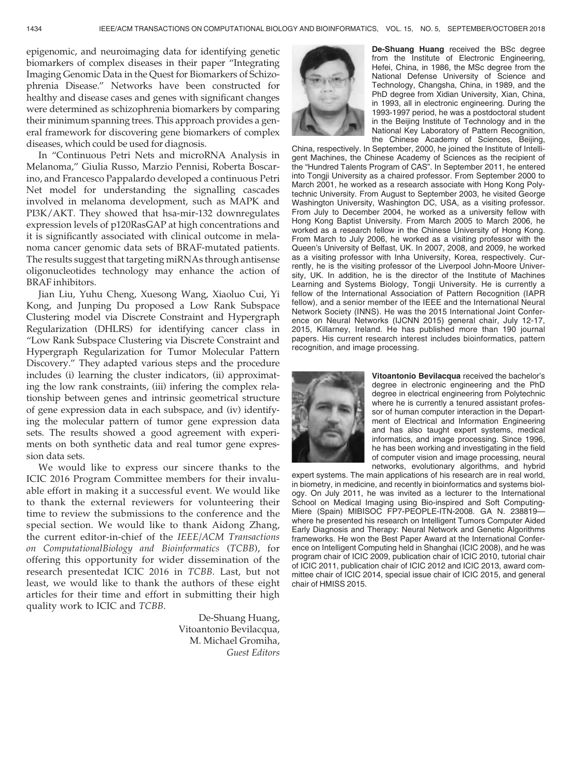epigenomic, and neuroimaging data for identifying genetic biomarkers of complex diseases in their paper "Integrating Imaging Genomic Data in the Quest for Biomarkers of Schizophrenia Disease." Networks have been constructed for healthy and disease cases and genes with significant changes were determined as schizophrenia biomarkers by comparing their minimum spanning trees. This approach provides a general framework for discovering gene biomarkers of complex diseases, which could be used for diagnosis.

In "Continuous Petri Nets and microRNA Analysis in Melanoma," Giulia Russo, Marzio Pennisi, Roberta Boscarino, and Francesco Pappalardo developed a continuous Petri Net model for understanding the signalling cascades involved in melanoma development, such as MAPK and PI3K/AKT. They showed that hsa-mir-132 downregulates expression levels of p120RasGAP at high concentrations and it is significantly associated with clinical outcome in melanoma cancer genomic data sets of BRAF-mutated patients. The results suggest that targeting miRNAs through antisense oligonucleotides technology may enhance the action of BRAF inhibitors.

Jian Liu, Yuhu Cheng, Xuesong Wang, Xiaoluo Cui, Yi Kong, and Junping Du proposed a Low Rank Subspace Clustering model via Discrete Constraint and Hypergraph Regularization (DHLRS) for identifying cancer class in "Low Rank Subspace Clustering via Discrete Constraint and Hypergraph Regularization for Tumor Molecular Pattern Discovery." They adapted various steps and the procedure includes (i) learning the cluster indicators, (ii) approximating the low rank constraints, (iii) infering the complex relationship between genes and intrinsic geometrical structure of gene expression data in each subspace, and (iv) identifying the molecular pattern of tumor gene expression data sets. The results showed a good agreement with experiments on both synthetic data and real tumor gene expression data sets.

We would like to express our sincere thanks to the ICIC 2016 Program Committee members for their invaluable effort in making it a successful event. We would like to thank the external reviewers for volunteering their time to review the submissions to the conference and the special section. We would like to thank Aidong Zhang, the current editor-in-chief of the *IEEE/ACM Transactions on ComputationalBiology and Bioinformatics* (*TCBB*), for offering this opportunity for wider dissemination of the research presentedat ICIC 2016 in *TCBB*. Last, but not least, we would like to thank the authors of these eight articles for their time and effort in submitting their high quality work to ICIC and *TCBB*.

> De-Shuang Huang, Vitoantonio Bevilacqua, M. Michael Gromiha, *Guest Editors*



De-Shuang Huang received the BSc degree from the Institute of Electronic Engineering, Hefei, China, in 1986, the MSc degree from the National Defense University of Science and Technology, Changsha, China, in 1989, and the PhD degree from Xidian University, Xian, China, in 1993, all in electronic engineering. During the 1993-1997 period, he was a postdoctoral student in the Beijing Institute of Technology and in the National Key Laboratory of Pattern Recognition, the Chinese Academy of Sciences, Beijing,

China, respectively. In September, 2000, he joined the Institute of Intelligent Machines, the Chinese Academy of Sciences as the recipient of the "Hundred Talents Program of CAS". In September 2011, he entered into Tongji University as a chaired professor. From September 2000 to March 2001, he worked as a research associate with Hong Kong Polytechnic University. From August to September 2003, he visited George Washington University, Washington DC, USA, as a visiting professor. From July to December 2004, he worked as a university fellow with Hong Kong Baptist University. From March 2005 to March 2006, he worked as a research fellow in the Chinese University of Hong Kong. From March to July 2006, he worked as a visiting professor with the Queen's University of Belfast, UK. In 2007, 2008, and 2009, he worked as a visiting professor with Inha University, Korea, respectively. Currently, he is the visiting professor of the Liverpool John-Moore University, UK. In addition, he is the director of the Institute of Machines Learning and Systems Biology, Tongji University. He is currently a fellow of the International Association of Pattern Recognition (IAPR fellow), and a senior member of the IEEE and the International Neural Network Society (INNS). He was the 2015 International Joint Conference on Neural Networks (IJCNN 2015) general chair, July 12-17, 2015, Killarney, Ireland. He has published more than 190 journal papers. His current research interest includes bioinformatics, pattern recognition, and image processing.



Vitoantonio Bevilacqua received the bachelor's degree in electronic engineering and the PhD degree in electrical engineering from Polytechnic where he is currently a tenured assistant professor of human computer interaction in the Department of Electrical and Information Engineering and has also taught expert systems, medical informatics, and image processing. Since 1996, he has been working and investigating in the field of computer vision and image processing, neural networks, evolutionary algorithms, and hybrid

expert systems. The main applications of his research are in real world, in biometry, in medicine, and recently in bioinformatics and systems biology. On July 2011, he was invited as a lecturer to the International School on Medical Imaging using Bio-inspired and Soft Computing-Miere (Spain) MIBISOC FP7-PEOPLE-ITN-2008. GA N. 238819where he presented his research on Intelligent Tumors Computer Aided Early Diagnosis and Therapy: Neural Network and Genetic Algorithms frameworks. He won the Best Paper Award at the International Conference on Intelligent Computing held in Shanghai (ICIC 2008), and he was program chair of ICIC 2009, publication chair of ICIC 2010, tutorial chair of ICIC 2011, publication chair of ICIC 2012 and ICIC 2013, award committee chair of ICIC 2014, special issue chair of ICIC 2015, and general chair of HMISS 2015.